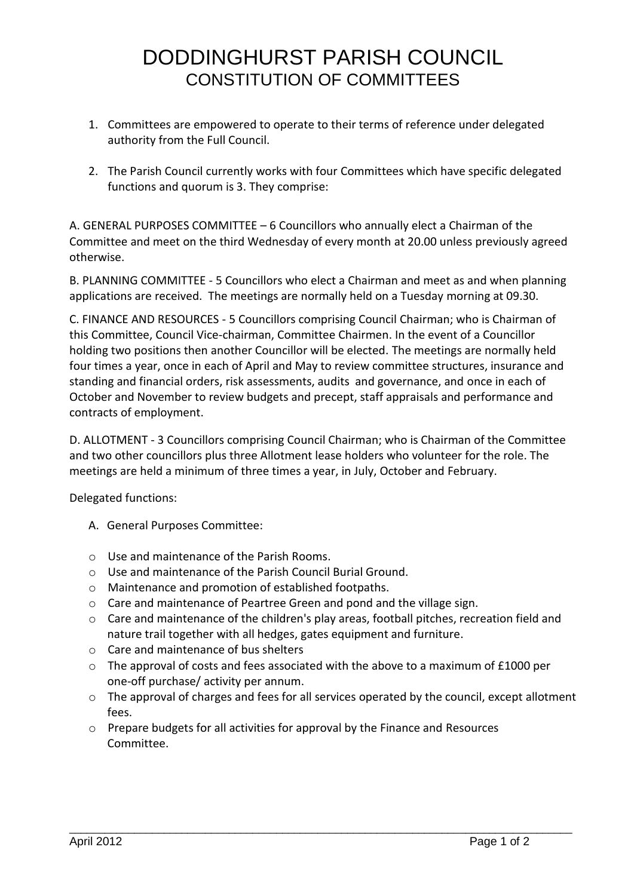## DODDINGHURST PARISH COUNCIL CONSTITUTION OF COMMITTEES

- 1. Committees are empowered to operate to their terms of reference under delegated authority from the Full Council.
- 2. The Parish Council currently works with four Committees which have specific delegated functions and quorum is 3. They comprise:

A. GENERAL PURPOSES COMMITTEE – 6 Councillors who annually elect a Chairman of the Committee and meet on the third Wednesday of every month at 20.00 unless previously agreed otherwise.

B. PLANNING COMMITTEE - 5 Councillors who elect a Chairman and meet as and when planning applications are received. The meetings are normally held on a Tuesday morning at 09.30.

C. FINANCE AND RESOURCES - 5 Councillors comprising Council Chairman; who is Chairman of this Committee, Council Vice-chairman, Committee Chairmen. In the event of a Councillor holding two positions then another Councillor will be elected. The meetings are normally held four times a year, once in each of April and May to review committee structures, insurance and standing and financial orders, risk assessments, audits and governance, and once in each of October and November to review budgets and precept, staff appraisals and performance and contracts of employment.

D. ALLOTMENT - 3 Councillors comprising Council Chairman; who is Chairman of the Committee and two other councillors plus three Allotment lease holders who volunteer for the role. The meetings are held a minimum of three times a year, in July, October and February.

Delegated functions:

- A. General Purposes Committee:
- o Use and maintenance of the Parish Rooms.
- o Use and maintenance of the Parish Council Burial Ground.
- o Maintenance and promotion of established footpaths.
- $\circ$  Care and maintenance of Peartree Green and pond and the village sign.
- o Care and maintenance of the children's play areas, football pitches, recreation field and nature trail together with all hedges, gates equipment and furniture.
- o Care and maintenance of bus shelters
- $\circ$  The approval of costs and fees associated with the above to a maximum of £1000 per one-off purchase/ activity per annum.
- o The approval of charges and fees for all services operated by the council, except allotment fees.
- $\circ$  Prepare budgets for all activities for approval by the Finance and Resources Committee.